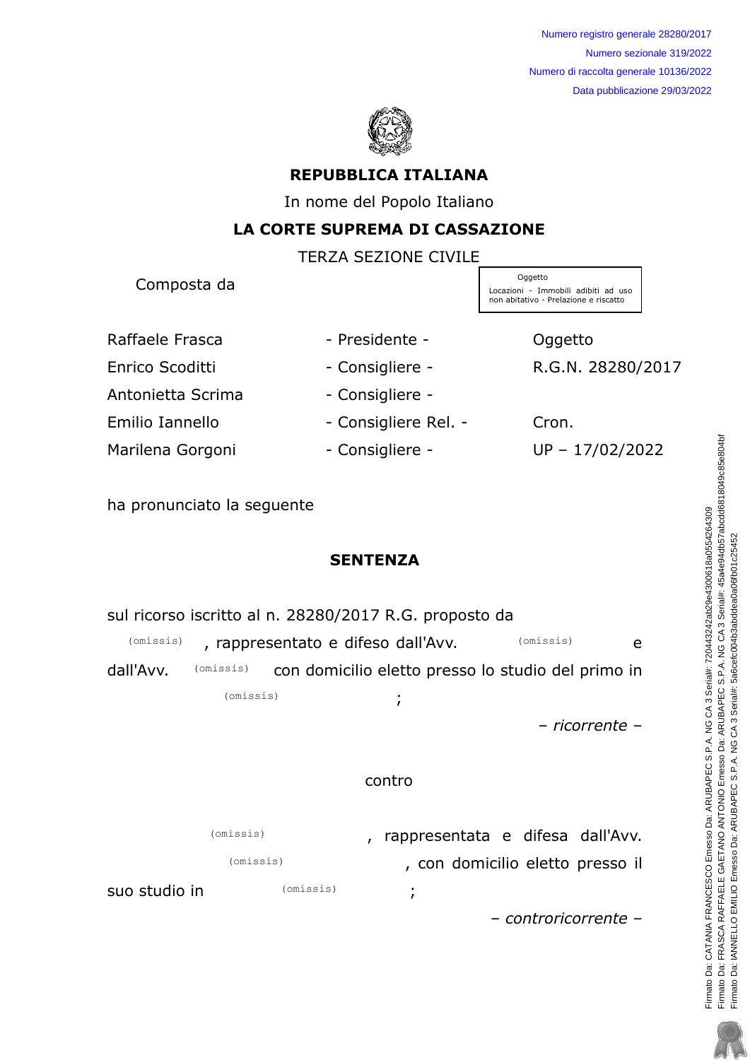

## REPUBBLICA ITALIANA

In nome del Popolo Italiano

## LA CORTE SUPREMA DI CASSAZIONE

 $TENZA$  $CZZIONE$  $CIVII$  $E$ 

|                        | I EKZA SEZIUNE CIVILE |                                                                                         |
|------------------------|-----------------------|-----------------------------------------------------------------------------------------|
| Composta da            |                       | Oggetto<br>Locazioni - Immobili adibiti ad uso<br>non abitativo - Prelazione e riscatto |
| Raffaele Frasca        | - Presidente -        | Oggetto                                                                                 |
| <b>Enrico Scoditti</b> | - Consigliere -       | R.G.N. 28280/2017                                                                       |
| Antonietta Scrima      | - Consigliere -       |                                                                                         |
| Emilio Iannello        | - Consigliere Rel. -  | Cron.                                                                                   |
| Marilena Gorgoni       | - Consigliere -       | UP-17/02/2022                                                                           |
|                        |                       |                                                                                         |

ha pronunciato la seguente

# SENTENZA

| sul ricorso iscritto al n. 28280/2017 R.G. proposto da       |           |           |                                                    |                                  |                       |  |
|--------------------------------------------------------------|-----------|-----------|----------------------------------------------------|----------------------------------|-----------------------|--|
| (omissis)<br>(omissis)<br>, rappresentato e difeso dall'Avv. |           |           | e                                                  |                                  |                       |  |
| dall'Avv.                                                    | (omissis) |           | con domicilio eletto presso lo studio del primo in |                                  |                       |  |
|                                                              | (omissis) |           | $\mathbf{r}$                                       |                                  |                       |  |
|                                                              |           |           |                                                    |                                  | <i>– ricorrente –</i> |  |
|                                                              |           |           |                                                    |                                  |                       |  |
| contro                                                       |           |           |                                                    |                                  |                       |  |
|                                                              |           |           |                                                    |                                  |                       |  |
|                                                              | (omissis) |           |                                                    | rappresentata e difesa dall'Avv. |                       |  |
|                                                              | (omissis) |           |                                                    | , con domicilio eletto presso il |                       |  |
| suo studio in                                                |           | (omissis) | ٠<br>$\mathbf{r}$                                  |                                  |                       |  |
|                                                              |           |           |                                                    | - controricorrente -             |                       |  |

Firmato Da: CATANIA FRANCESCO Emesso Da: ARUBAPEC S.P.A. NG CA 3 Serial#: 720443242ab29e4300618a0554264309<br>Firmato Da: FRASCA RAFFAELE GAETANO ANTONIO Emesso Da: ARUBAPEC S.P.A. NG CA 3 Serial#: 45a4e94db57abcdd6818049c85e Firmato Da: FRASCA RAFFAELE GAETANO ANTONIO Emesso Da: ARUBAPEC S.P.A. NG CA 3 Serial#: 45a4e94db57abcdd6818049c85e804bf Firmato Da: CATANIA FRANCESCO Emesso Da: ARUBAPEC S.P.A. NG CA 3 Serial#: 720443242ab29e4300618a0554264309 Firmato Da: IANNELLO EMILIO Emesso Da: ARUBAPEC S.P.A. NG CA 3 Serial#: 5a6cefc004b3abddea0a06fb01c25452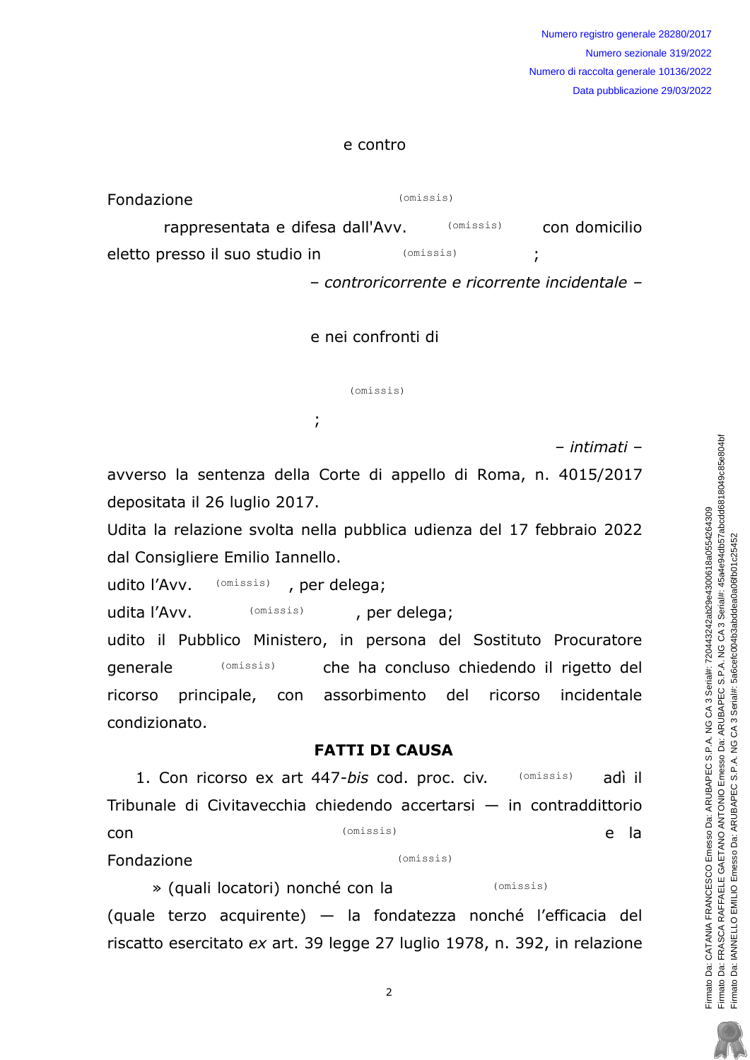#### e contro

| Fondazione                       | (omissis) |           |                                               |
|----------------------------------|-----------|-----------|-----------------------------------------------|
| rappresentata e difesa dall'Avv. |           | (omissis) | con domicilio                                 |
| eletto presso il suo studio in   | (omissis) |           |                                               |
|                                  |           |           | - controricorrente e ricorrente incidentale - |

#### e nei confronti di

(omissis)

- intimati -

avverso la sentenza della Corte di appello di Roma, n. 4015/2017 depositata il 26 luglio 2017.

=!

Udita la relazione svolta nella pubblica udienza del 17 febbraio 2022 dal Consigliere Emilio Iannello.

udito l'Avv. (omissis), per delega; (omissis)

udita l'Avv. (omissis) per delega; (omissis)

udito il Pubblico Ministero, in persona del Sostituto Procuratore generale (omissis) in the ha concluso chiedendo il rigetto del ricorso principale, con assorbimento del ricorso incidentale condizionato. (omissis)

### FATTI DI CAUSA

1. Con ricorso ex art  $447$ -bis cod. proc. civ.  $(omissis)$  adì il Tribunale di Civitavecchia chiedendo accertarsi  $-$  in contraddittorio con (omissis) e la Fondazione (omissis) (omissis) (omissis)

» (quali locatori) nonché con la  $\alpha$  (quale terzo acquirente) — la fondatezza nonché l'efficacia del riscatto esercitato  $ex$  art. 39 legge 27 luglio 1978, n. 392, in relazione (omissis)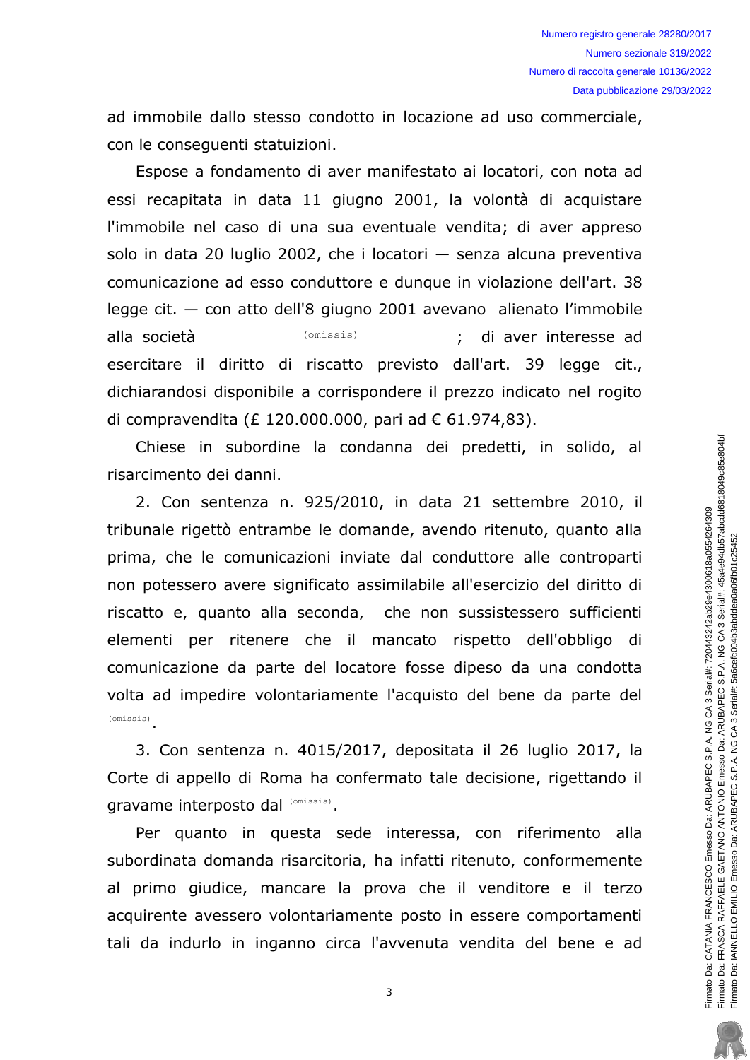ad immobile dallo stesso condotto in locazione ad uso commerciale, con le consequenti statuizioni.

Espose a fondamento di aver manifestato ai locatori, con nota ad essi recapitata in data 11 giugno 2001, la volontà di acquistare l'immobile nel caso di una sua eventuale vendita: di aver appreso solo in data 20 luglio 2002, che i locatori  $-$  senza alcuna preventiva comunicazione ad esso conduttore e dunque in violazione dell'art. 38  $leq$ ge cit.  $-$  con atto dell'8 giugno 2001 avevano alienato l'immobile alla società (omissis) (omissis) ; di aver interesse ad esercitare il diritto di riscatto previsto dall'art. 39 legge cit., dichiarandosi disponibile a corrispondere il prezzo indicato nel rogito di compravendita (£ 120.000.000, pari ad  $\epsilon$  61.974,83). (omissis)

Chiese in subordine la condanna dei predetti, in solido, al risarcimento dei danni.

2. Con sentenza n. 925/2010, in data 21 settembre 2010, il tribunale rigettò entrambe le domande, avendo ritenuto, quanto alla prima, che le comunicazioni inviate dal conduttore alle controparti non potessero avere significato assimilabile all'esercizio del diritto di riscatto e, quanto alla seconda, che non sussistessero sufficienti elementi per ritenere che il mancato rispetto dell'obbligo di comunicazione da parte del locatore fosse dipeso da una condotta volta ad impedire volontariamente l'acquisto del bene da parte del  $(omissis)$ 

3. Con sentenza n. 4015/2017, depositata il 26 luglio 2017, la Corte di appello di Roma ha confermato tale decisione, rigettando il gravame interposto dal (omissis).  $\frac{1}{(0.001 \text{ s})}$ .<br>3. Con sentenza n. 4015<br>Corte di appello di Roma ha

Per quanto in questa sede interessa, con riferimento alla subordinata domanda risarcitoria, ha infatti ritenuto, conformemente al primo giudice, mancare la prova che il venditore e il terzo acquirente avessero volontariamente posto in essere comportamenti tali da indurlo in inganno circa l'avvenuta vendita del bene e ad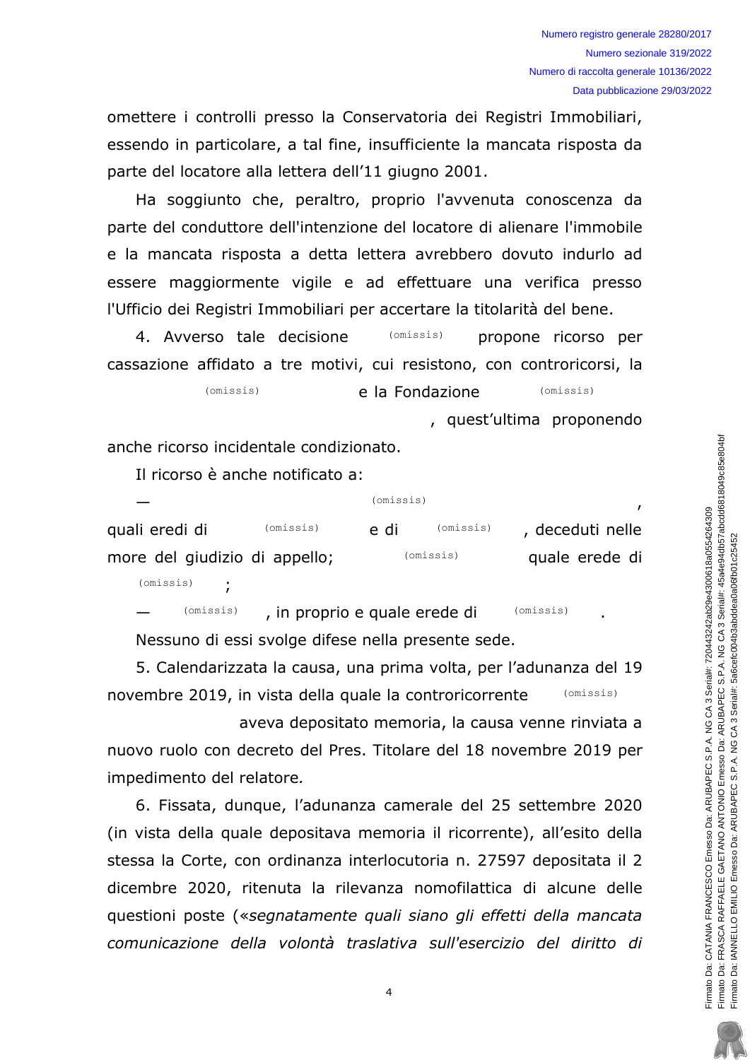omettere i controlli presso la Conservatoria dei Registri Immobiliari, essendo in particolare, a tal fine, insufficiente la mancata risposta da parte del locatore alla lettera dell'11 giugno 2001.

Ha soggiunto che, peraltro, proprio l'avvenuta conoscenza da parte del conduttore dell'intenzione del locatore di alienare l'immobile e la mancata risposta a detta lettera avrebbero dovuto indurlo ad essere maggiormente vigile e ad effettuare una verifica presso l'Ufficio dei Registri Immobiliari per accertare la titolarità del bene.

4. Avverso tale decisione (omissis) propone ricorso per cassazione affidato a tre motivi, cui resistono, con controricorsi, la

> $(omissis)$ e la Fondazione  $(omissis)$

> > , quest'ultima proponendo

anche ricorso incidentale condizionato.

Il ricorso è anche notificato a:

| (omissis) | e di                          | (omissis) | , deceduti nelle       |
|-----------|-------------------------------|-----------|------------------------|
|           |                               |           | quale erede di         |
|           | more del giudizio di appello; |           | (omissis)<br>(omissis) |

 $(omissis)$ 

 $(omissis)$ , in proprio e quale erede di  $(omissis)$ Nessuno di essi svolge difese nella presente sede.

5. Calendarizzata la causa, una prima volta, per l'adunanza del 19 novembre 2019, in vista della quale la controricorrente  $(omissis)$ 

aveva depositato memoria, la causa venne rinviata a nuovo ruolo con decreto del Pres. Titolare del 18 novembre 2019 per impedimento del relatore.

6. Fissata, dunque, l'adunanza camerale del 25 settembre 2020 (in vista della quale depositava memoria il ricorrente), all'esito della stessa la Corte, con ordinanza interlocutoria n. 27597 depositata il 2 dicembre 2020, ritenuta la rilevanza nomofilattica di alcune delle questioni poste («segnatamente quali siano gli effetti della mancata comunicazione della volontà traslativa sull'esercizio del diritto di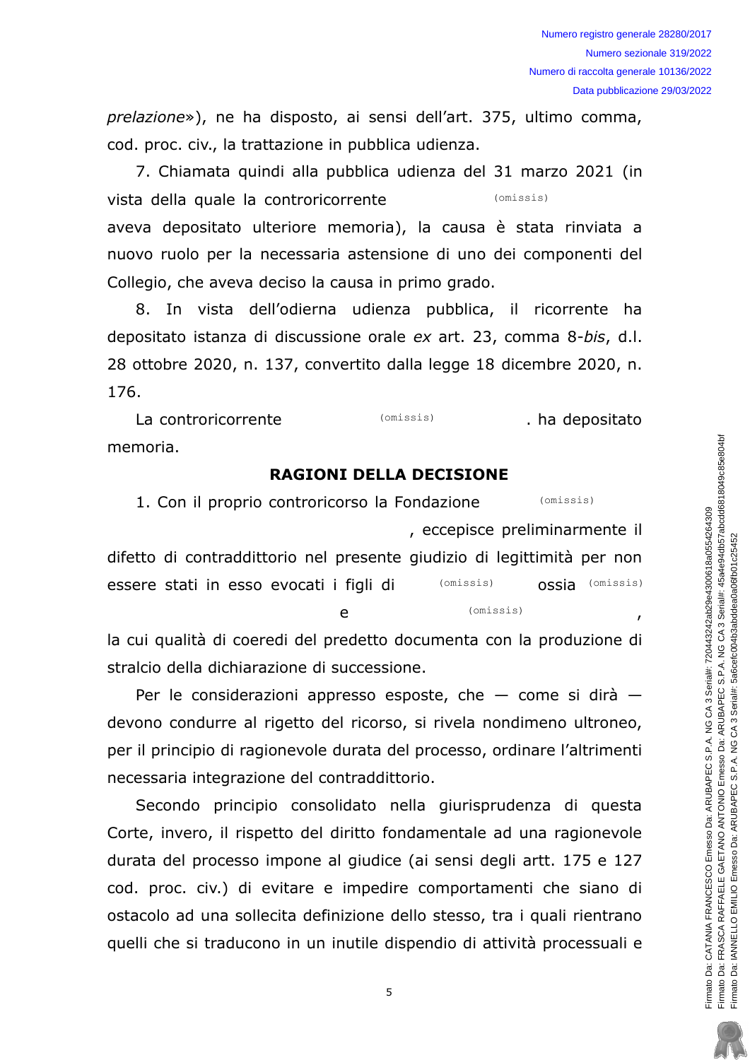prelazione»), ne ha disposto, ai sensi dell'art. 375, ultimo comma, cod. proc. civ., la trattazione in pubblica udienza.

7. Chiamata quindi alla pubblica udienza del 31 marzo 2021 (in vista della quale la controricorrente (omissis) aveva depositato ulteriore memoria), la causa è stata rinviata a nuovo ruolo per la necessaria astensione di uno dei componenti del Collegio, che aveva deciso la causa in primo grado.

8. In vista dell'odierna udienza pubblica, il ricorrente ha depositato istanza di discussione orale ex art. 23, comma 8-bis, d.l. 28 ottobre 2020, n. 137, convertito dalla legge 18 dicembre 2020, n. 176.

(omissis) La controricorrente . ha depositato memoria.

### **RAGIONI DELLA DECISIONE**

1. Con il proprio controricorso la Fondazione (omissis) , eccepisce preliminarmente il difetto di contraddittorio nel presente giudizio di legittimità per non OSSia (omissis) essere stati in esso evocati i figli di  $(omissis)$ (omissis)  $\mathbf{e}$ 

la cui qualità di coeredi del predetto documenta con la produzione di stralcio della dichiarazione di successione.

Per le considerazioni appresso esposte, che  $-$  come si dirà  $$ devono condurre al rigetto del ricorso, si rivela nondimeno ultroneo, per il principio di ragionevole durata del processo, ordinare l'altrimenti necessaria integrazione del contraddittorio.

Secondo principio consolidato nella giurisprudenza di questa Corte, invero, il rispetto del diritto fondamentale ad una ragionevole durata del processo impone al giudice (ai sensi degli artt. 175 e 127 cod. proc. civ.) di evitare e impedire comportamenti che siano di ostacolo ad una sollecita definizione dello stesso, tra i quali rientrano quelli che si traducono in un inutile dispendio di attività processuali e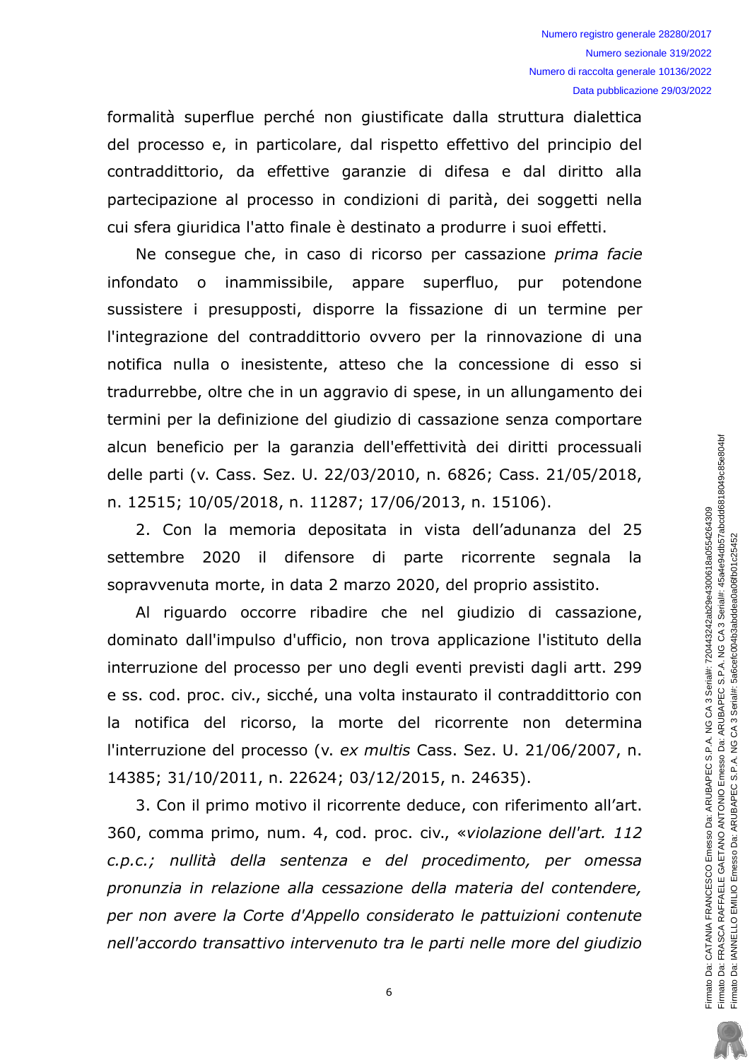formalità superflue perché non qiustificate dalla struttura dialettica del processo e, in particolare, dal rispetto effettivo del principio del contraddittorio, da effettive garanzie di difesa e dal diritto alla partecipazione al processo in condizioni di parità, dei soggetti nella cui sfera giuridica l'atto finale è destinato a produrre i suoi effetti.

Ne conseque che, in caso di ricorso per cassazione prima facie infondato o inammissibile, appare superfluo, pur potendone sussistere i presupposti, disporre la fissazione di un termine per l'integrazione del contraddittorio ovvero per la rinnovazione di una notifica nulla o inesistente, atteso che la concessione di esso si tradurrebbe, oltre che in un aggravio di spese, in un allungamento dei termini per la definizione del giudizio di cassazione senza comportare alcun beneficio per la garanzia dell'effettività dei diritti processuali delle parti (v. Cass. Sez. U. 22/03/2010, n. 6826; Cass. 21/05/2018, n. 12515; 10/05/2018, n. 11287; 17/06/2013, n. 15106).

2. Con la memoria depositata in vista dell'adunanza del 25 settembre 2020 il difensore di parte ricorrente segnala la sopravvenuta morte, in data 2 marzo 2020, del proprio assistito.

Al riguardo occorre ribadire che nel giudizio di cassazione, dominato dall'impulso d'ufficio, non trova applicazione l'istituto della interruzione del processo per uno degli eventi previsti dagli artt. 299 e ss. cod. proc. civ., sicché, una volta instaurato il contraddittorio con la notifica del ricorso, la morte del ricorrente non determina l'interruzione del processo (v. ex multis Cass. Sez. U. 21/06/2007, n. 14385; 31/10/2011, n. 22624; 03/12/2015, n. 24635).

3. Con il primo motivo il ricorrente deduce, con riferimento all'art. 360, comma primo, num. 4, cod. proc. civ., «violazione dell'art. 112 c.p.c.; nullità della sentenza e del procedimento, per omessa pronunzia in relazione alla cessazione della materia del contendere, per non avere la Corte d'Appello considerato le pattuizioni contenute nell'accordo transattivo intervenuto tra le parti nelle more del giudizio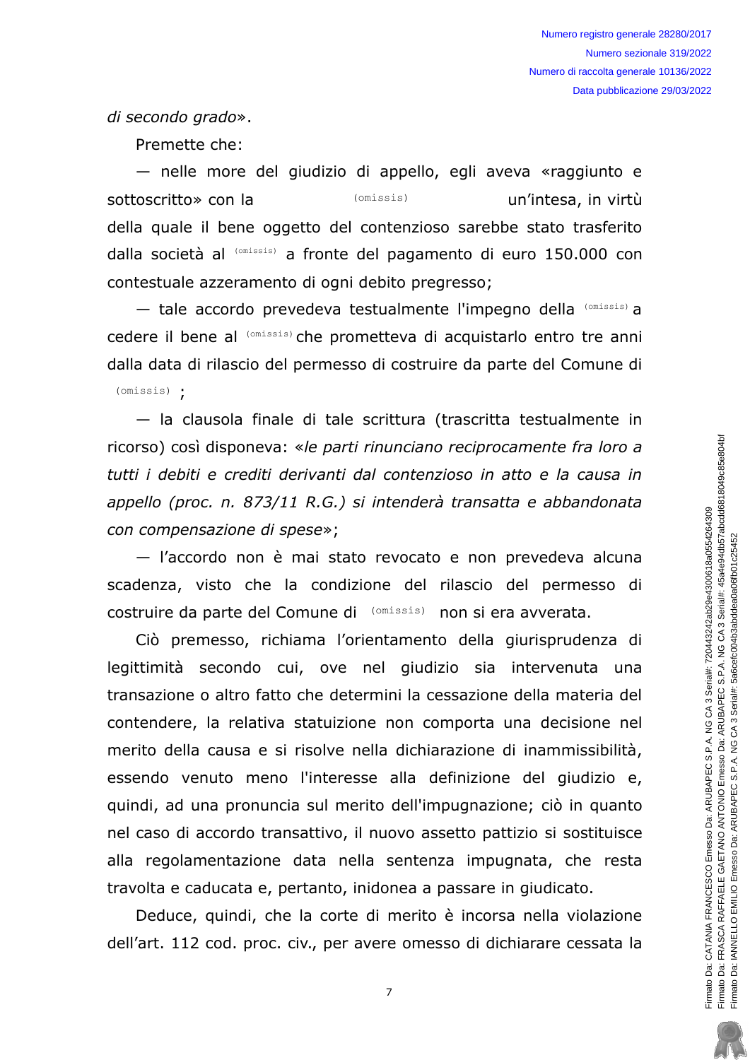di secondo grado».

Premette che:

- nelle more del giudizio di appello, egli aveva «raggiunto e sottoscritto» con la (omissis) un'intesa, in virtù della quale il bene oggetto del contenzioso sarebbe stato trasferito dalla società al (omissis) a fronte del pagamento di euro 150.000 con contestuale azzeramento di ogni debito pregresso;

- tale accordo prevedeva testualmente l'impegno della (Omissis) a cedere il bene al (omissis) che prometteva di acquistarlo entro tre anni dalla data di rilascio del permesso di costruire da parte del Comune di  $(omissis)$  .

- la clausola finale di tale scrittura (trascritta testualmente in ricorso) così disponeva: «le parti rinunciano reciprocamente fra loro a tutti i debiti e crediti derivanti dal contenzioso in atto e la causa in appello (proc. n. 873/11 R.G.) și intenderà transatta e abbandonata con compensazione di spese»;

- l'accordo non è mai stato revocato e non prevedeva alcuna scadenza, visto che la condizione del rilascio del permesso di costruire da parte del Comune di (Omissis) non si era avverata.

Ciò premesso, richiama l'orientamento della giurisprudenza di legittimità secondo cui, ove nel giudizio sia intervenuta una transazione o altro fatto che determini la cessazione della materia del contendere, la relativa statuizione non comporta una decisione nel merito della causa e si risolve nella dichiarazione di inammissibilità, essendo venuto meno l'interesse alla definizione del giudizio e, quindi, ad una pronuncia sul merito dell'impugnazione; ciò in quanto nel caso di accordo transattivo, il nuovo assetto pattizio si sostituisce alla regolamentazione data nella sentenza impugnata, che resta travolta e caducata e, pertanto, inidonea a passare in giudicato.

Deduce, quindi, che la corte di merito è incorsa nella violazione dell'art. 112 cod. proc. civ., per avere omesso di dichiarare cessata la

 $\overline{7}$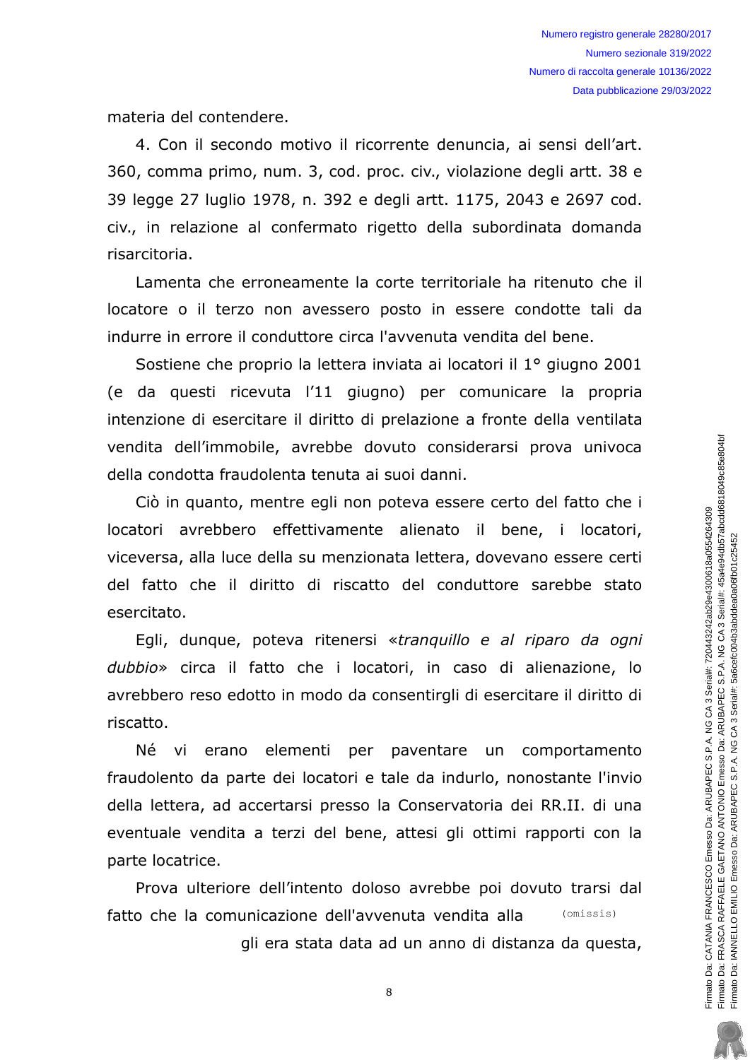materia del contendere.

4. Con il secondo motivo il ricorrente denuncia, ai sensi dell'art. 360, comma primo, num. 3, cod. proc. civ., violazione degli artt. 38 e 39 legge 27 luglio 1978, n. 392 e degli artt. 1175, 2043 e 2697 cod. civ., in relazione al confermato rigetto della subordinata domanda risarcitoria.

Lamenta che erroneamente la corte territoriale ha ritenuto che il locatore o il terzo non avessero posto in essere condotte tali da indurre in errore il conduttore circa l'avvenuta vendita del bene.

Sostiene che proprio la lettera inviata ai locatori il 1º giugno 2001 (e da questi ricevuta l'11 giugno) per comunicare la propria intenzione di esercitare il diritto di prelazione a fronte della ventilata vendita dell'immobile, avrebbe dovuto considerarsi prova univoca della condotta fraudolenta tenuta ai suoi danni.

Ciò in quanto, mentre egli non poteva essere certo del fatto che i locatori avrebbero effettivamente alienato il bene, i locatori, viceversa, alla luce della su menzionata lettera, dovevano essere certi del fatto che il diritto di riscatto del conduttore sarebbe stato esercitato.

Egli, dunque, poteva ritenersi «tranguillo e al riparo da ogni dubbio» circa il fatto che i locatori, in caso di alienazione, lo avrebbero reso edotto in modo da consentirgli di esercitare il diritto di riscatto.

Né vi erano elementi per paventare un comportamento fraudolento da parte dei locatori e tale da indurlo, nonostante l'invio della lettera, ad accertarsi presso la Conservatoria dei RR.II. di una eventuale vendita a terzi del bene, attesi gli ottimi rapporti con la parte locatrice.

Prova ulteriore dell'intento doloso avrebbe poi dovuto trarsi dal  $(omissis)$ fatto che la comunicazione dell'avvenuta vendita alla

gli era stata data ad un anno di distanza da questa,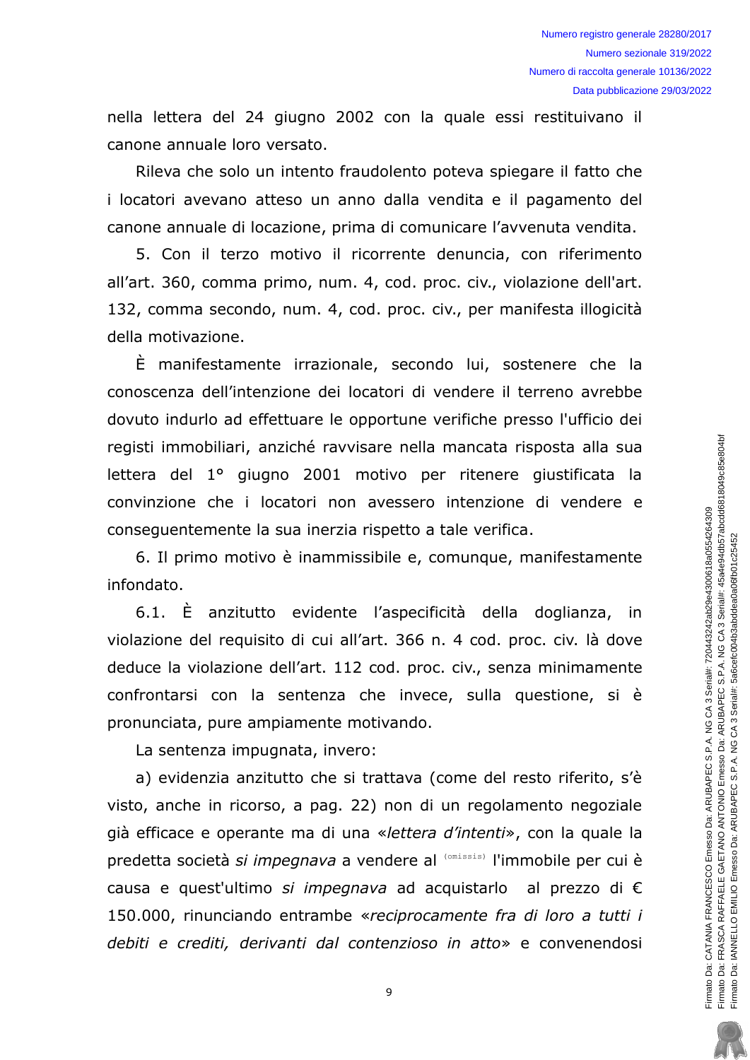nella lettera del 24 giugno 2002 con la quale essi restituivano il canone annuale loro versato.

Rileva che solo un intento fraudolento poteva spiegare il fatto che i locatori avevano atteso un anno dalla vendita e il pagamento del canone annuale di locazione, prima di comunicare l'avvenuta vendita.

5. Con il terzo motivo il ricorrente denuncia, con riferimento all'art. 360, comma primo, num. 4, cod. proc. civ., violazione dell'art. 132, comma secondo, num. 4, cod. proc. civ., per manifesta illogicità della motivazione.

È manifestamente irrazionale, secondo lui, sostenere che la conoscenza dell'intenzione dei locatori di vendere il terreno avrebbe dovuto indurlo ad effettuare le opportune verifiche presso l'ufficio dei registi immobiliari, anziché ravvisare nella mancata risposta alla sua lettera del 1º giugno 2001 motivo per ritenere giustificata la convinzione che i locatori non avessero intenzione di vendere e consequentemente la sua inerzia rispetto a tale verifica.

6. Il primo motivo è inammissibile e, comunque, manifestamente infondato.

6.1. È anzitutto evidente l'aspecificità della doglianza, in violazione del reguisito di cui all'art. 366 n. 4 cod. proc. civ. là dove deduce la violazione dell'art. 112 cod. proc. civ., senza minimamente confrontarsi con la sentenza che invece, sulla questione, si è pronunciata, pure ampiamente motivando.

La sentenza impugnata, invero:

a) evidenzia anzitutto che si trattava (come del resto riferito, s'è visto, anche in ricorso, a pag. 22) non di un regolamento negoziale già efficace e operante ma di una «lettera d'intenti», con la quale la predetta società si impegnava a vendere al (Omissis) l'immobile per cui è causa e quest'ultimo si impegnava ad acquistarlo al prezzo di € 150.000, rinunciando entrambe «reciprocamente fra di loro a tutti i debiti e crediti, derivanti dal contenzioso in atto» e convenendosi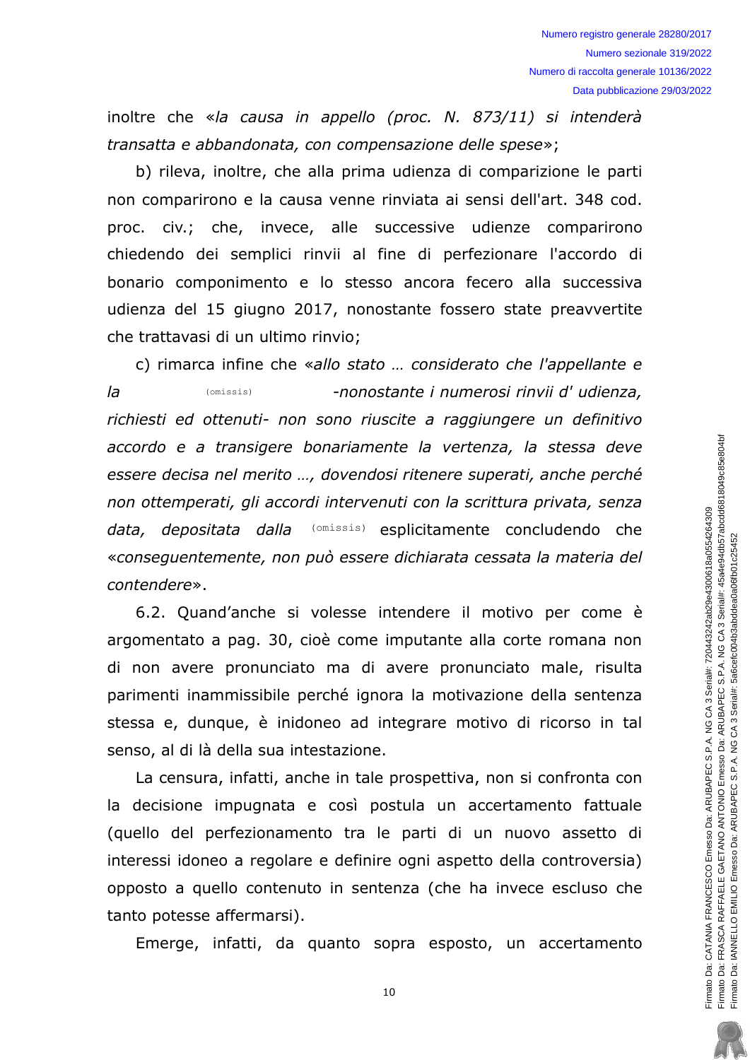inoltre che «la causa in appello (proc. N. 873/11) si intenderà transatta e abbandonata, con compensazione delle spese»;

b) rileva, inoltre, che alla prima udienza di comparizione le parti non comparirono e la causa venne rinviata ai sensi dell'art. 348 cod. proc. civ.; che, invece, alle successive udienze comparirono chiedendo dei semplici rinvii al fine di perfezionare l'accordo di bonario componimento e lo stesso ancora fecero alla successiva udienza del 15 giugno 2017, nonostante fossero state preavvertite che trattavasi di un ultimo rinvio;

c) rimarca infine che «allo stato ... considerato che l'appellante e  $l\bar{a}$  $(missis)$ -nonostante i numerosi rinvii d'udienza, richiesti ed ottenuti- non sono riuscite a raggiungere un definitivo accordo e a transigere bonariamente la vertenza, la stessa deve essere decisa nel merito ..., dovendosi ritenere superati, anche perché non ottemperati, gli accordi intervenuti con la scrittura privata, senza data, depositata dalla (omissis) esplicitamente concludendo che «consequentemente, non può essere dichiarata cessata la materia del contendere».

6.2. Quand'anche si volesse intendere il motivo per come è argomentato a pag. 30, cioè come imputante alla corte romana non di non avere pronunciato ma di avere pronunciato male, risulta parimenti inammissibile perché ignora la motivazione della sentenza stessa e, dunque, è inidoneo ad integrare motivo di ricorso in tal senso, al di là della sua intestazione.

La censura, infatti, anche in tale prospettiva, non si confronta con la decisione impugnata e così postula un accertamento fattuale (quello del perfezionamento tra le parti di un nuovo assetto di interessi idoneo a regolare e definire ogni aspetto della controversia) opposto a quello contenuto in sentenza (che ha invece escluso che tanto potesse affermarsi).

Emerge, infatti, da quanto sopra esposto, un accertamento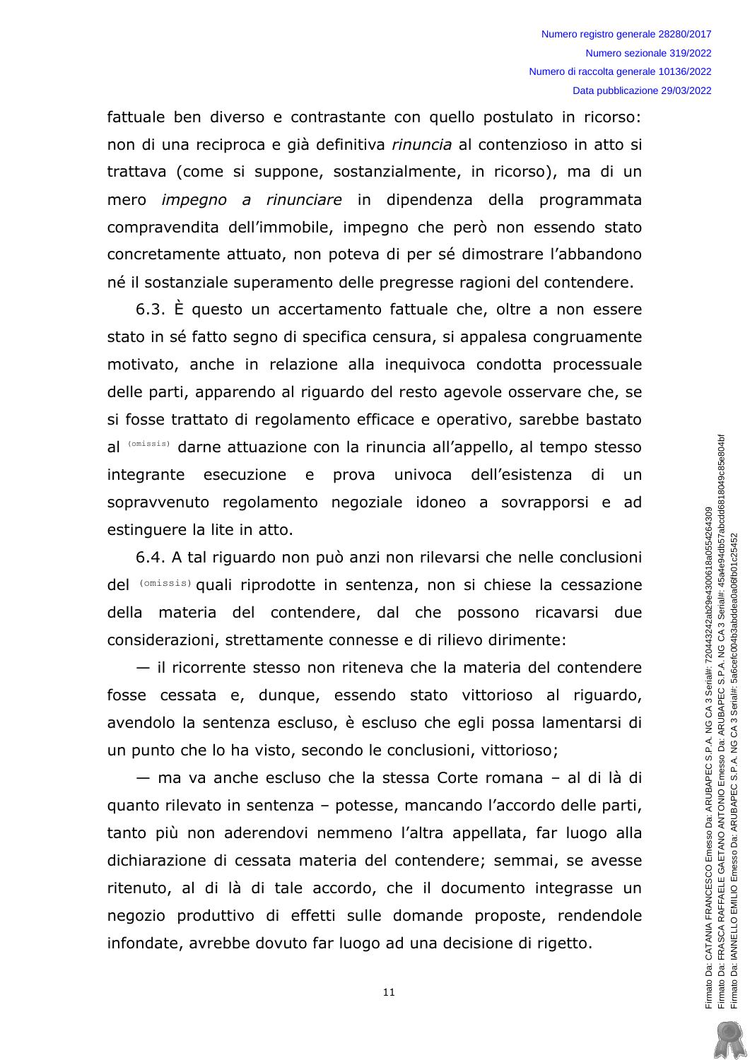fattuale ben diverso e contrastante con quello postulato in ricorso: non di una reciproca e già definitiva rinuncia al contenzioso in atto si trattava (come si suppone, sostanzialmente, in ricorso), ma di un mero *impegno a rinunciare* in dipendenza della programmata compravendita dell'immobile, impegno che però non essendo stato concretamente attuato, non poteva di per sé dimostrare l'abbandono né il sostanziale superamento delle pregresse ragioni del contendere.

6.3. È questo un accertamento fattuale che, oltre a non essere stato in sé fatto segno di specifica censura, si appalesa congruamente motivato, anche in relazione alla ineguivoca condotta processuale delle parti, apparendo al riguardo del resto agevole osservare che, se si fosse trattato di regolamento efficace e operativo, sarebbe bastato al (omissis) darne attuazione con la rinuncia all'appello, al tempo stesso integrante esecuzione e prova univoca dell'esistenza di un sopravvenuto regolamento negoziale idoneo a sovrapporsi e ad estinguere la lite in atto.

6.4. A tal riguardo non può anzi non rilevarsi che nelle conclusioni del (omissis) quali riprodotte in sentenza, non si chiese la cessazione della materia del contendere, dal che possono ricavarsi due considerazioni, strettamente connesse e di rilievo dirimente:

- il ricorrente stesso non riteneva che la materia del contendere fosse cessata e, dunque, essendo stato vittorioso al riguardo, avendolo la sentenza escluso, è escluso che egli possa lamentarsi di un punto che lo ha visto, secondo le conclusioni, vittorioso;

- ma va anche escluso che la stessa Corte romana - al di là di guanto rilevato in sentenza - potesse, mancando l'accordo delle parti, tanto più non aderendovi nemmeno l'altra appellata, far luogo alla dichiarazione di cessata materia del contendere: semmai, se avesse ritenuto, al di là di tale accordo, che il documento integrasse un negozio produttivo di effetti sulle domande proposte, rendendole infondate, avrebbe dovuto far luogo ad una decisione di rigetto.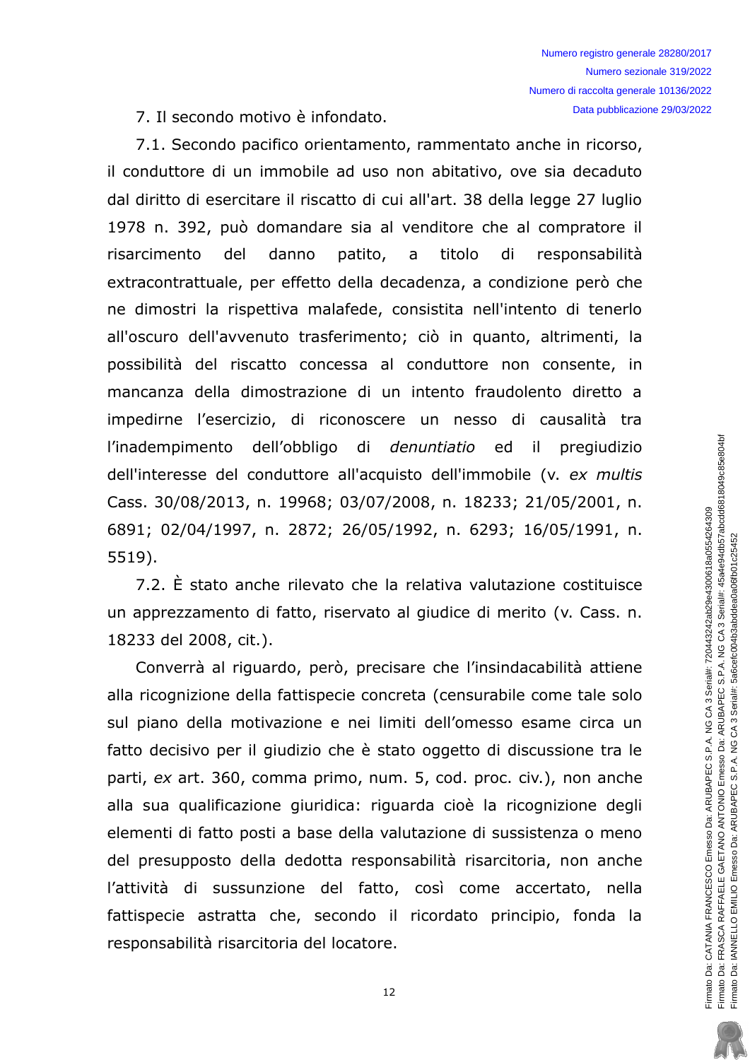7. Il secondo motivo è infondato.

7.1. Secondo pacifico orientamento, rammentato anche in ricorso, il conduttore di un immobile ad uso non abitativo, ove sia decaduto dal diritto di esercitare il riscatto di cui all'art. 38 della legge 27 luglio 1978 n. 392, può domandare sia al venditore che al compratore il patito, risarcimento del danno  $\overline{a}$ titolo di responsabilità extracontrattuale, per effetto della decadenza, a condizione però che ne dimostri la rispettiva malafede, consistita nell'intento di tenerlo all'oscuro dell'avvenuto trasferimento; ciò in quanto, altrimenti, la possibilità del riscatto concessa al conduttore non consente, in mancanza della dimostrazione di un intento fraudolento diretto a impedirne l'esercizio, di riconoscere un nesso di causalità tra l'inadempimento dell'obbligo di *denuntiatio* ed il pregiudizio dell'interesse del conduttore all'acquisto dell'immobile (v. ex multis Cass. 30/08/2013, n. 19968; 03/07/2008, n. 18233; 21/05/2001, n. 6891; 02/04/1997, n. 2872; 26/05/1992, n. 6293; 16/05/1991, n.  $5519$ ).

7.2. È stato anche rilevato che la relativa valutazione costituisce un apprezzamento di fatto, riservato al giudice di merito (v. Cass. n. 18233 del 2008, cit.).

Converrà al riguardo, però, precisare che l'insindacabilità attiene alla ricognizione della fattispecie concreta (censurabile come tale solo sul piano della motivazione e nei limiti dell'omesso esame circa un fatto decisivo per il giudizio che è stato oggetto di discussione tra le parti, ex art. 360, comma primo, num. 5, cod. proc. civ.), non anche alla sua qualificazione giuridica: riguarda cioè la ricognizione degli elementi di fatto posti a base della valutazione di sussistenza o meno del presupposto della dedotta responsabilità risarcitoria, non anche l'attività di sussunzione del fatto, così come accertato, nella fattispecie astratta che, secondo il ricordato principio, fonda la responsabilità risarcitoria del locatore.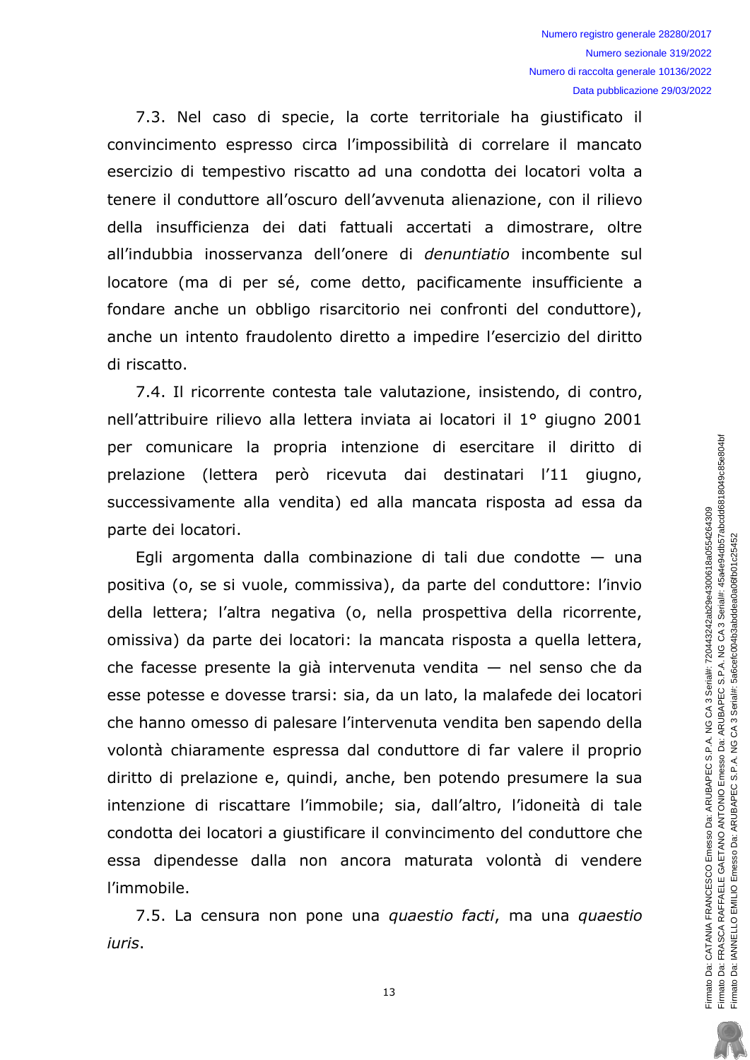7.3. Nel caso di specie, la corte territoriale ha giustificato il convincimento espresso circa l'impossibilità di correlare il mancato esercizio di tempestivo riscatto ad una condotta dei locatori volta a tenere il conduttore all'oscuro dell'avvenuta alienazione, con il rilievo della insufficienza dei dati fattuali accertati a dimostrare, oltre all'indubbia inosservanza dell'onere di *denuntiatio* incombente sul locatore (ma di per sé, come detto, pacificamente insufficiente a fondare anche un obbligo risarcitorio nei confronti del conduttore), anche un intento fraudolento diretto a impedire l'esercizio del diritto di riscatto.

7.4. Il ricorrente contesta tale valutazione, insistendo, di contro, nell'attribuire rilievo alla lettera inviata ai locatori il 1º giugno 2001 per comunicare la propria intenzione di esercitare il diritto di prelazione (lettera però ricevuta dai destinatari l'11 giugno, successivamente alla vendita) ed alla mancata risposta ad essa da parte dei locatori.

Egli argomenta dalla combinazione di tali due condotte  $-$  una positiva (o, se si vuole, commissiva), da parte del conduttore: l'invio della lettera; l'altra negativa (o, nella prospettiva della ricorrente, omissiva) da parte dei locatori: la mancata risposta a quella lettera, che facesse presente la già intervenuta vendita  $-$  nel senso che da esse potesse e dovesse trarsi: sia, da un lato, la malafede dei locatori che hanno omesso di palesare l'intervenuta vendita ben sapendo della volontà chiaramente espressa dal conduttore di far valere il proprio diritto di prelazione e, quindi, anche, ben potendo presumere la sua intenzione di riscattare l'immobile; sia, dall'altro, l'idoneità di tale condotta dei locatori a giustificare il convincimento del conduttore che essa dipendesse dalla non ancora maturata volontà di vendere l'immobile.

7.5. La censura non pone una quaestio facti, ma una quaestio iuris.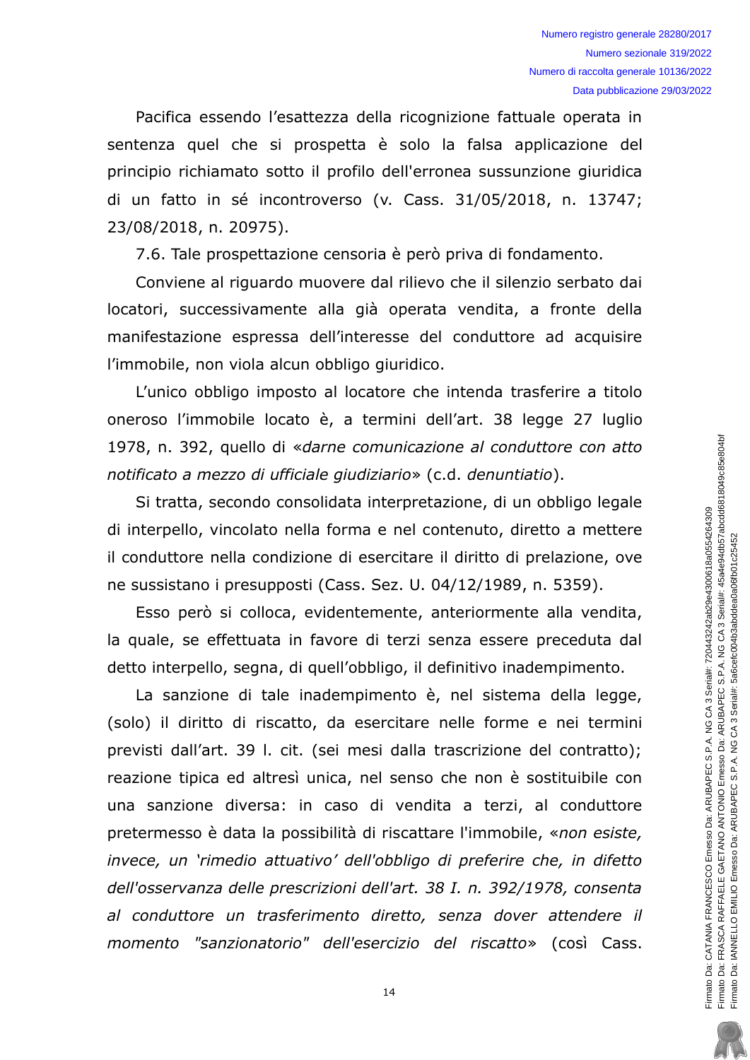Pacifica essendo l'esattezza della ricognizione fattuale operata in sentenza quel che si prospetta è solo la falsa applicazione del principio richiamato sotto il profilo dell'erronea sussunzione giuridica di un fatto in sé incontroverso (v. Cass. 31/05/2018, n. 13747; 23/08/2018, n. 20975).

7.6. Tale prospettazione censoria è però priva di fondamento.

Conviene al riguardo muovere dal rilievo che il silenzio serbato dai locatori, successivamente alla già operata vendita, a fronte della manifestazione espressa dell'interesse del conduttore ad acquisire l'immobile, non viola alcun obbligo giuridico.

L'unico obbligo imposto al locatore che intenda trasferire a titolo oneroso l'immobile locato è, a termini dell'art. 38 legge 27 luglio 1978, n. 392, quello di «darne comunicazione al conduttore con atto notificato a mezzo di ufficiale giudiziario» (c.d. denuntiatio).

Si tratta, secondo consolidata interpretazione, di un obbligo legale di interpello, vincolato nella forma e nel contenuto, diretto a mettere il conduttore nella condizione di esercitare il diritto di prelazione, ove ne sussistano i presupposti (Cass. Sez. U. 04/12/1989, n. 5359).

Esso però si colloca, evidentemente, anteriormente alla vendita, la quale, se effettuata in favore di terzi senza essere preceduta dal detto interpello, segna, di quell'obbligo, il definitivo inadempimento.

La sanzione di tale inadempimento è, nel sistema della legge, (solo) il diritto di riscatto, da esercitare nelle forme e nei termini previsti dall'art. 39 l. cit. (sei mesi dalla trascrizione del contratto); reazione tipica ed altresì unica, nel senso che non è sostituibile con una sanzione diversa: in caso di vendita a terzi, al conduttore pretermesso è data la possibilità di riscattare l'immobile, «non esiste, invece, un 'rimedio attuativo' dell'obbligo di preferire che, in difetto dell'osservanza delle prescrizioni dell'art. 38 I. n. 392/1978, consenta al conduttore un trasferimento diretto, senza dover attendere il momento "sanzionatorio" dell'esercizio del riscatto» (così Cass.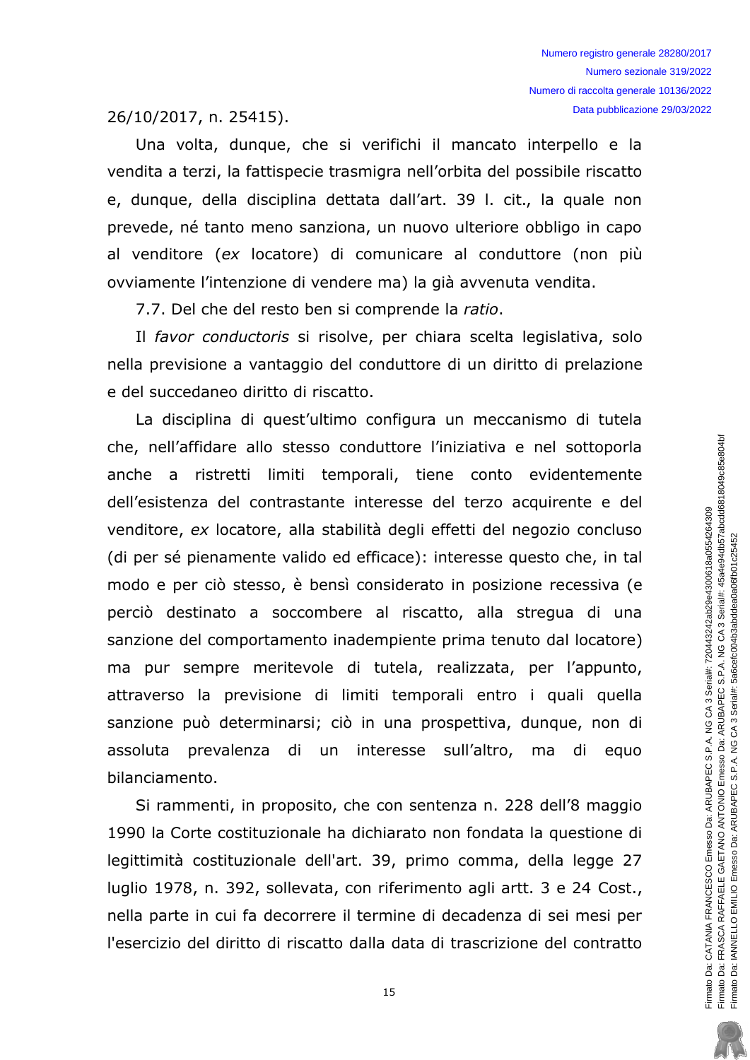26/10/2017, n. 25415).

Una volta, dunque, che si verifichi il mancato interpello e la vendita a terzi, la fattispecie trasmigra nell'orbita del possibile riscatto e, dunque, della disciplina dettata dall'art. 39 l. cit., la quale non prevede, né tanto meno sanziona, un nuovo ulteriore obbligo in capo al venditore (ex locatore) di comunicare al conduttore (non più ovviamente l'intenzione di vendere ma) la già avvenuta vendita.

7.7. Del che del resto ben si comprende la ratio.

Il favor conductoris si risolve, per chiara scelta legislativa, solo nella previsione a vantaggio del conduttore di un diritto di prelazione e del succedaneo diritto di riscatto.

La disciplina di quest'ultimo configura un meccanismo di tutela che, nell'affidare allo stesso conduttore l'iniziativa e nel sottoporla anche a ristretti limiti temporali, tiene conto evidentemente dell'esistenza del contrastante interesse del terzo acquirente e del venditore, ex locatore, alla stabilità degli effetti del negozio concluso (di per sé pienamente valido ed efficace): interesse questo che, in tal modo e per ciò stesso, è bensì considerato in posizione recessiva (e perciò destinato a soccombere al riscatto, alla stregua di una sanzione del comportamento inadempiente prima tenuto dal locatore) ma pur sempre meritevole di tutela, realizzata, per l'appunto, attraverso la previsione di limiti temporali entro i quali quella sanzione può determinarsi; ciò in una prospettiva, dunque, non di assoluta prevalenza di un interesse sull'altro, ma di equo bilanciamento.

Si rammenti, in proposito, che con sentenza n. 228 dell'8 maggio 1990 la Corte costituzionale ha dichiarato non fondata la questione di legittimità costituzionale dell'art. 39, primo comma, della legge 27 luglio 1978, n. 392, sollevata, con riferimento agli artt. 3 e 24 Cost., nella parte in cui fa decorrere il termine di decadenza di sei mesi per l'esercizio del diritto di riscatto dalla data di trascrizione del contratto

Firmato Da: CATANIA FRANCESCO Emesso Da: ARUBAPEC S.P.A. NG CA 3 Serial#: 720443242ab29e4300618a0554264309<br>Firmato Da: FRASCA RAFFAELE GAETANO ANTONIO Emesso Da: ARUBAPEC S.P.A. NG CA 3 Serial#: 45a4e94db57abcdd6818049c85e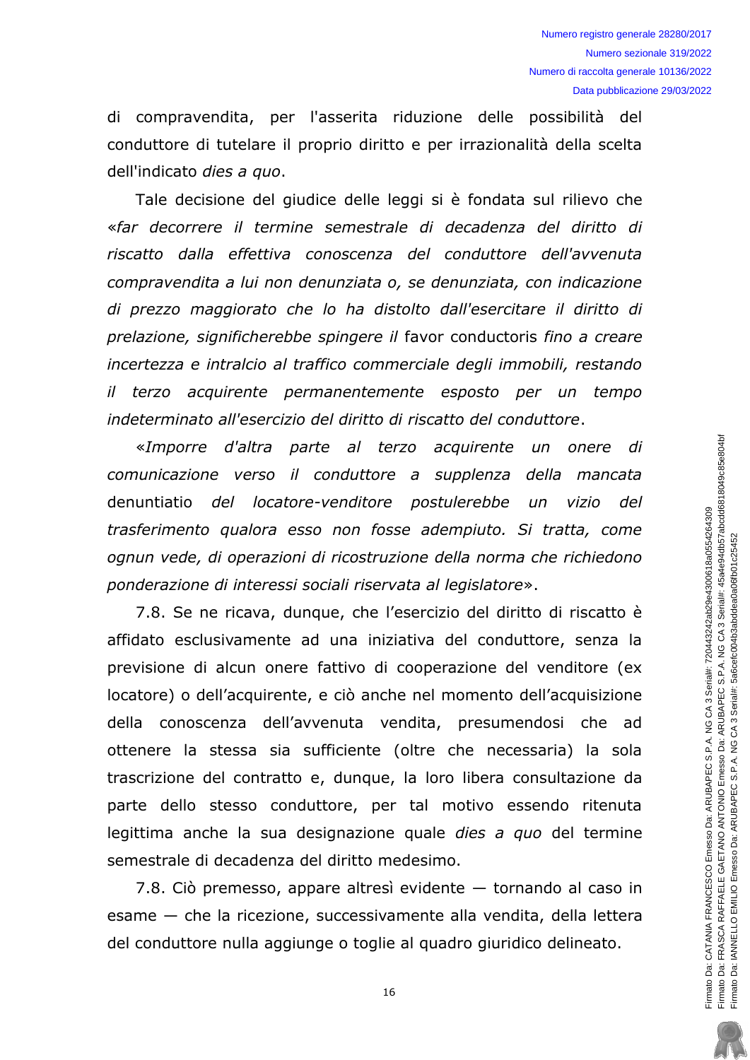di compravendita, per l'asserita riduzione delle possibilità del conduttore di tutelare il proprio diritto e per irrazionalità della scelta dell'indicato dies a quo.

Tale decisione del giudice delle leggi si è fondata sul rilievo che «far decorrere il termine semestrale di decadenza del diritto di riscatto dalla effettiva conoscenza del conduttore dell'avvenuta compravendita a lui non denunziata o, se denunziata, con indicazione di prezzo maggiorato che lo ha distolto dall'esercitare il diritto di prelazione, significherebbe spingere il favor conductoris fino a creare incertezza e intralcio al traffico commerciale degli immobili, restando il terzo acquirente permanentemente esposto per un tempo indeterminato all'esercizio del diritto di riscatto del conduttore.

«Imporre d'altra parte al terzo acquirente un onere di comunicazione verso il conduttore a supplenza della mancata denuntiatio del locatore-venditore postulerebbe un vizio del trasferimento qualora esso non fosse adempiuto. Si tratta, come ognun vede, di operazioni di ricostruzione della norma che richiedono ponderazione di interessi sociali riservata al legislatore».

7.8. Se ne ricava, dunque, che l'esercizio del diritto di riscatto è affidato esclusivamente ad una iniziativa del conduttore, senza la previsione di alcun onere fattivo di cooperazione del venditore (ex locatore) o dell'acquirente, e ciò anche nel momento dell'acquisizione della conoscenza dell'avvenuta vendita, presumendosi che ad ottenere la stessa sia sufficiente (oltre che necessaria) la sola trascrizione del contratto e, dunque, la loro libera consultazione da parte dello stesso conduttore, per tal motivo essendo ritenuta legittima anche la sua designazione quale *dies a quo* del termine semestrale di decadenza del diritto medesimo.

7.8. Ciò premesso, appare altresì evidente - tornando al caso in esame - che la ricezione, successivamente alla vendita, della lettera del conduttore nulla aggiunge o toglie al guadro giuridico delineato.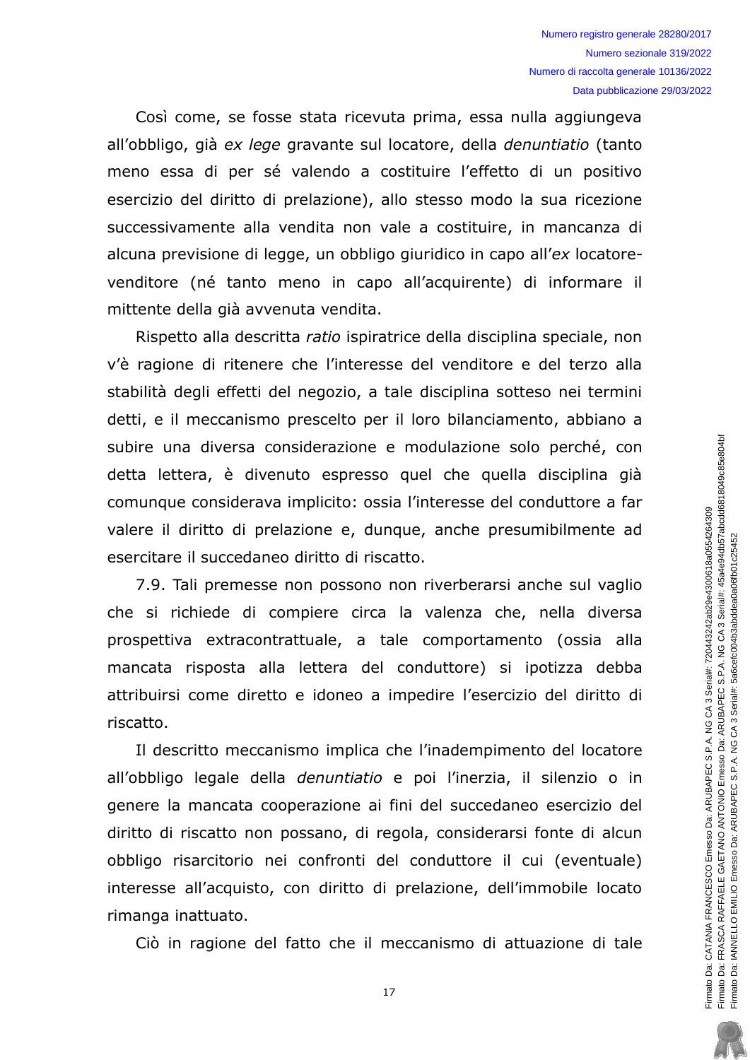Così come, se fosse stata ricevuta prima, essa nulla aggiungeva all'obbligo, già ex lege gravante sul locatore, della denuntiatio (tanto meno essa di per sé valendo a costituire l'effetto di un positivo esercizio del diritto di prelazione), allo stesso modo la sua ricezione successivamente alla vendita non vale a costituire, in mancanza di alcuna previsione di legge, un obbligo giuridico in capo all'ex locatorevenditore (né tanto meno in capo all'acquirente) di informare il mittente della già avvenuta vendita.

Rispetto alla descritta ratio ispiratrice della disciplina speciale, non v'è ragione di ritenere che l'interesse del venditore e del terzo alla stabilità degli effetti del negozio, a tale disciplina sotteso nei termini detti, e il meccanismo prescelto per il loro bilanciamento, abbiano a subire una diversa considerazione e modulazione solo perché, con detta lettera, è divenuto espresso quel che quella disciplina già comunque considerava implicito: ossia l'interesse del conduttore a far valere il diritto di prelazione e, dunque, anche presumibilmente ad esercitare il succedaneo diritto di riscatto.

7.9. Tali premesse non possono non riverberarsi anche sul vaglio che si richiede di compiere circa la valenza che, nella diversa prospettiva extracontrattuale, a tale comportamento (ossia alla mancata risposta alla lettera del conduttore) si ipotizza debba attribuirsi come diretto e idoneo a impedire l'esercizio del diritto di riscatto.

Il descritto meccanismo implica che l'inadempimento del locatore all'obbligo legale della *denuntiatio* e poi l'inerzia, il silenzio o in genere la mancata cooperazione ai fini del succedaneo esercizio del diritto di riscatto non possano, di regola, considerarsi fonte di alcun obbligo risarcitorio nei confronti del conduttore il cui (eventuale) interesse all'acquisto, con diritto di prelazione, dell'immobile locato rimanga inattuato.

Ciò in ragione del fatto che il meccanismo di attuazione di tale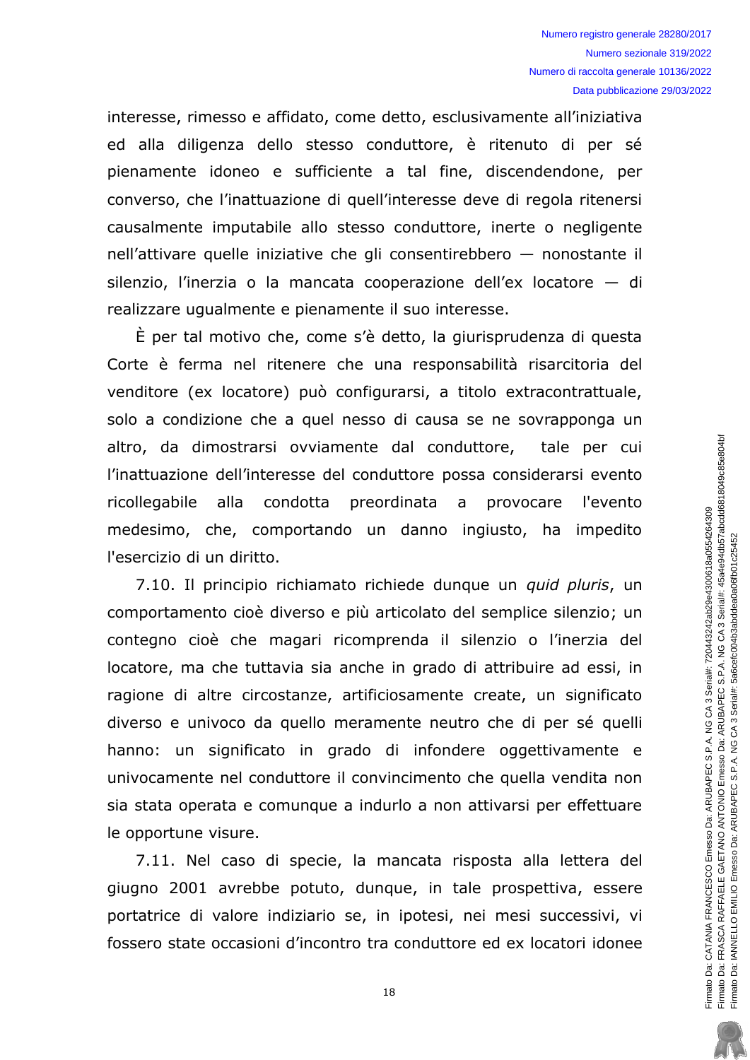interesse, rimesso e affidato, come detto, esclusivamente all'iniziativa ed alla diligenza dello stesso conduttore, è ritenuto di per sé pienamente idoneo e sufficiente a tal fine, discendendone, per converso, che l'inattuazione di quell'interesse deve di regola ritenersi causalmente imputabile allo stesso conduttore, inerte o negligente nell'attivare quelle iniziative che gli consentirebbero  $-$  nonostante il  $S$ ilenzio, l'inerzia o la mancata cooperazione dell'ex locatore  $-$  di realizzare ugualmente e pienamente il suo interesse.

 $\dot{E}$  per tal motivo che, come s'è detto, la giurisprudenza di questa Corte è ferma nel ritenere che una responsabilità risarcitoria del venditore (ex locatore) può configurarsi, a titolo extracontrattuale, solo a condizione che a quel nesso di causa se ne sovrapponga un altro, da dimostrarsi ovviamente dal conduttore, tale per cui l'inattuazione dell'interesse del conduttore possa considerarsi evento ricollegabile alla condotta preordinata a provocare l'evento medesimo, che, comportando un danno ingiusto, ha impedito l'esercizio di un diritto.

7.10. Il principio richiamato richiede dunque un *quid pluris*, un comportamento cioè diverso e più articolato del semplice silenzio; un contegno cioè che magari ricomprenda il silenzio o l'inerzia del locatore, ma che tuttavia sia anche in grado di attribuire ad essi, in ragione di altre circostanze, artificiosamente create, un significato diverso e univoco da quello meramente neutro che di per sé quelli hanno: un significato in grado di infondere oggettivamente e univocamente nel conduttore il convincimento che quella vendita non sia stata operata e comunque a indurlo a non attivarsi per effettuare le opportune visure.

7.11. Nel caso di specie, la mancata risposta alla lettera del giugno 2001 avrebbe potuto, dungue, in tale prospettiva, essere portatrice di valore indiziario se, in ipotesi, nei mesi successivi, vi fossero state occasioni d'incontro tra conduttore ed ex locatori idonee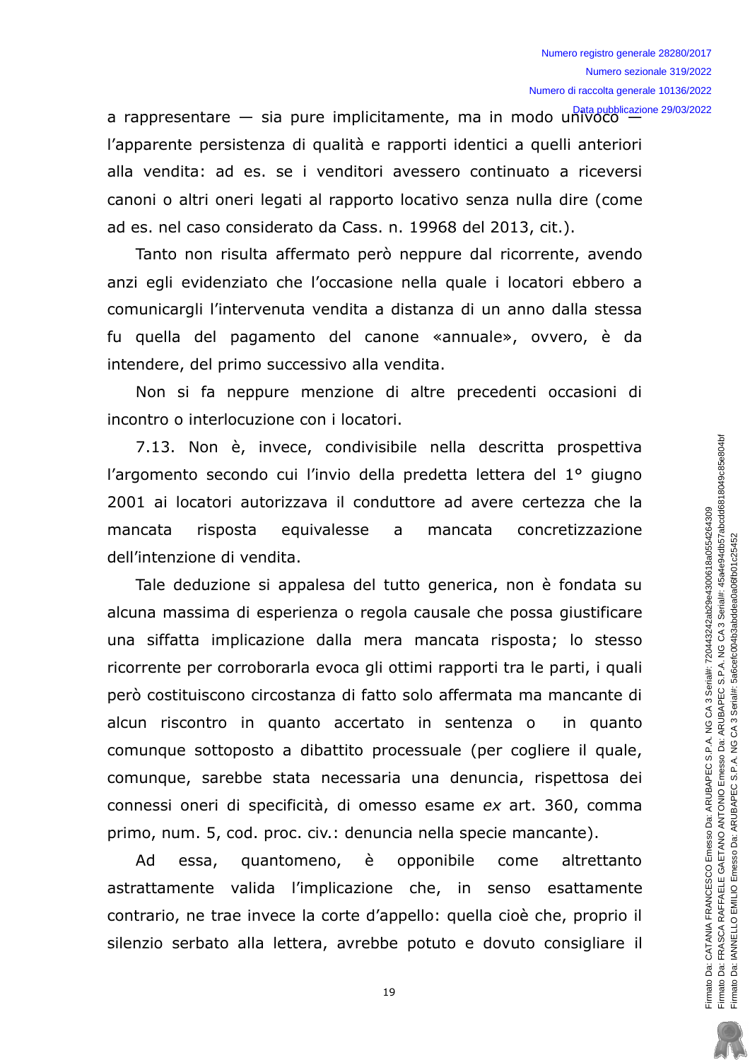a rappresentare - sia pure implicitamente, ma in modo univoco  $\frac{Data \text{ publicazione } 29/03/2022}{Data \text{ public action } 29/03/2022}$ l'apparente persistenza di qualità e rapporti identici a quelli anteriori alla vendita: ad es. se i venditori avessero continuato a riceversi canoni o altri oneri legati al rapporto locativo senza nulla dire (come ad es. nel caso considerato da Cass. n. 19968 del 2013, cit.).

Tanto non risulta affermato però neppure dal ricorrente, avendo anzi egli evidenziato che l'occasione nella quale i locatori ebbero a comunicargli l'intervenuta vendita a distanza di un anno dalla stessa fu quella del pagamento del canone «annuale», ovvero, è da intendere, del primo successivo alla vendita.

Non si fa neppure menzione di altre precedenti occasioni di incontro o interlocuzione con i locatori.

7.13. Non è, invece, condivisibile nella descritta prospettiva l'argomento secondo cui l'invio della predetta lettera del 1º giugno 2001 ai locatori autorizzava il conduttore ad avere certezza che la equivalesse concretizzazione mancata risposta  $\mathsf{a}$ mancata dell'intenzione di vendita.

Tale deduzione si appalesa del tutto generica, non è fondata su alcuna massima di esperienza o regola causale che possa giustificare una siffatta implicazione dalla mera mancata risposta; lo stesso ricorrente per corroborarla evoca gli ottimi rapporti tra le parti, i quali però costituiscono circostanza di fatto solo affermata ma mancante di alcun riscontro in quanto accertato in sentenza o in quanto comunque sottoposto a dibattito processuale (per cogliere il quale, comunque, sarebbe stata necessaria una denuncia, rispettosa dei connessi oneri di specificità, di omesso esame ex art. 360, comma primo, num. 5, cod. proc. civ.: denuncia nella specie mancante).

Ad quantomeno, è opponibile essa, come altrettanto astrattamente valida l'implicazione che, in senso esattamente contrario, ne trae invece la corte d'appello: quella cioè che, proprio il silenzio serbato alla lettera, avrebbe potuto e dovuto consigliare il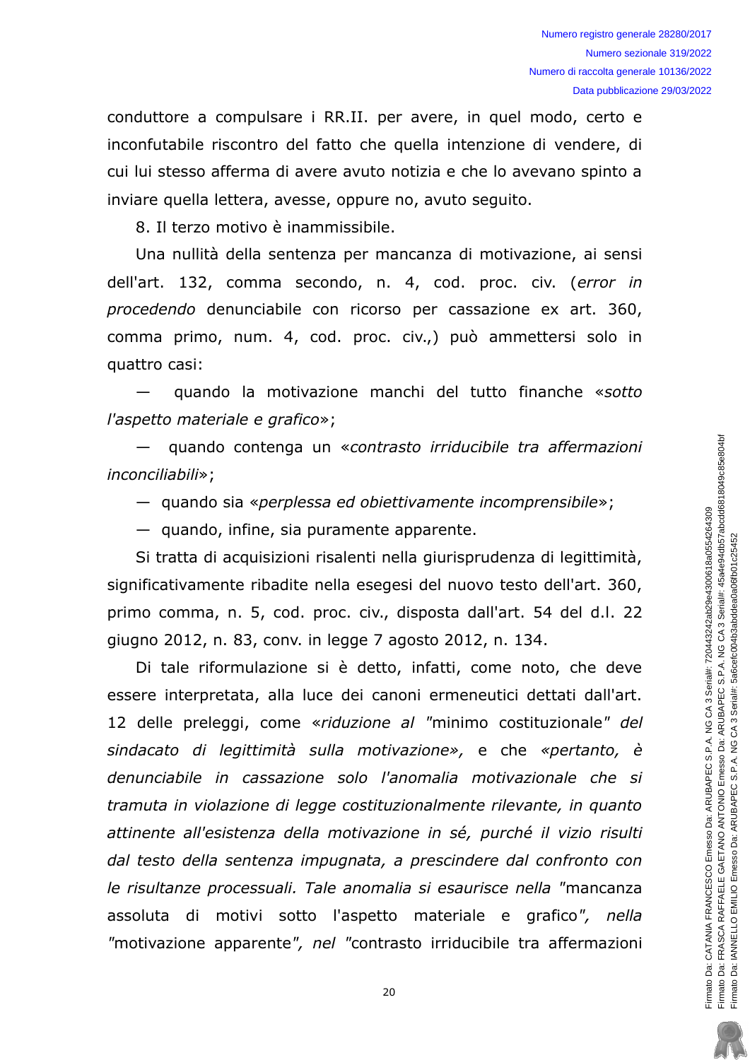conduttore a compulsare i RR.II. per avere, in quel modo, certo e inconfutabile riscontro del fatto che quella intenzione di vendere, di cui lui stesso afferma di avere avuto notizia e che lo avevano spinto a inviare quella lettera, avesse, oppure no, avuto sequito.

8. Il terzo motivo è inammissibile.

Una nullità della sentenza per mancanza di motivazione, ai sensi dell'art. 132, comma secondo, n. 4, cod. proc. civ. (error in procedendo denunciabile con ricorso per cassazione ex art. 360, comma primo, num. 4, cod. proc. civ.,) può ammettersi solo in quattro casi:

quando la motivazione manchi del tutto finanche «sotto l'aspetto materiale e grafico»;

quando contenga un «contrasto irriducibile tra affermazioni inconciliabili»;

- quando sia «perplessa ed obiettivamente incomprensibile»;

 $-$  quando, infine, sia puramente apparente.

Si tratta di acquisizioni risalenti nella giurisprudenza di legittimità, significativamente ribadite nella esegesi del nuovo testo dell'art. 360, primo comma, n. 5, cod. proc. civ., disposta dall'art. 54 del d.l. 22 giugno 2012, n. 83, conv. in legge 7 agosto 2012, n. 134.

Di tale riformulazione si è detto, infatti, come noto, che deve essere interpretata, alla luce dei canoni ermeneutici dettati dall'art. 12 delle preleggi, come «riduzione al "minimo costituzionale" del sindacato di legittimità sulla motivazione», e che «pertanto, è denunciabile in cassazione solo l'anomalia motivazionale che si tramuta in violazione di legge costituzionalmente rilevante, in quanto attinente all'esistenza della motivazione in sé, purché il vizio risulti dal testo della sentenza impugnata, a prescindere dal confronto con le risultanze processuali. Tale anomalia si esaurisce nella "mancanza assoluta di motivi sotto l'aspetto materiale e grafico", nella "motivazione apparente", nel "contrasto irriducibile tra affermazioni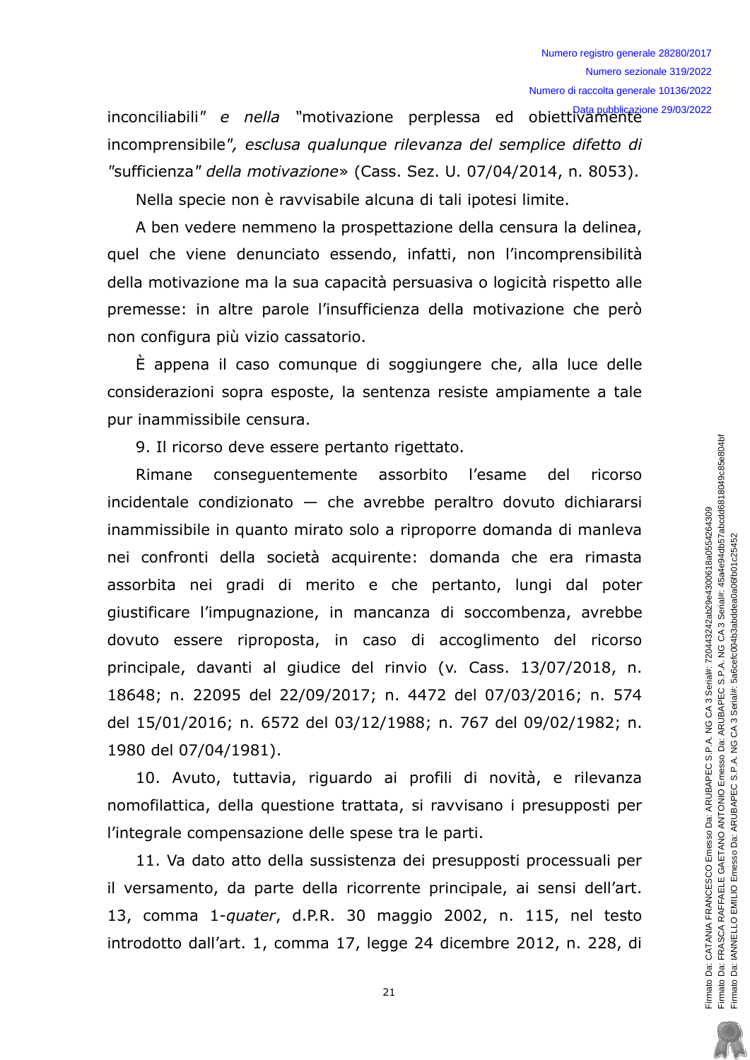inconciliabili" e nella "motivazione perplessa ed obiettivamente incomprensibile", esclusa qualungue rilevanza del semplice difetto di "sufficienza" della motivazione» (Cass. Sez. U. 07/04/2014, n. 8053).

Nella specie non è ravvisabile alcuna di tali ipotesi limite.

A ben vedere nemmeno la prospettazione della censura la delinea, quel che viene denunciato essendo, infatti, non l'incomprensibilità della motivazione ma la sua capacità persuasiva o logicità rispetto alle premesse: in altre parole l'insufficienza della motivazione che però non configura più vizio cassatorio.

È appena il caso comunque di soggiungere che, alla luce delle considerazioni sopra esposte, la sentenza resiste ampiamente a tale pur inammissibile censura.

9. Il ricorso deve essere pertanto rigettato.

Rimane consequentemente assorbito l'esame del ricorso incidentale condizionato  $-$  che avrebbe peraltro dovuto dichiararsi inammissibile in quanto mirato solo a riproporre domanda di manleva nei confronti della società acquirente: domanda che era rimasta assorbita nei gradi di merito e che pertanto, lungi dal poter giustificare l'impugnazione, in mancanza di soccombenza, avrebbe dovuto essere riproposta, in caso di accoglimento del ricorso principale, davanti al giudice del rinvio (v. Cass. 13/07/2018, n. 18648; n. 22095 del 22/09/2017; n. 4472 del 07/03/2016; n. 574 del 15/01/2016; n. 6572 del 03/12/1988; n. 767 del 09/02/1982; n. 1980 del 07/04/1981).

10. Avuto, tuttavia, riguardo ai profili di novità, e rilevanza nomofilattica, della questione trattata, si ravvisano i presupposti per l'integrale compensazione delle spese tra le parti.

11. Va dato atto della sussistenza dei presupposti processuali per il versamento, da parte della ricorrente principale, ai sensi dell'art. 13, comma 1-quater, d.P.R. 30 maggio 2002, n. 115, nel testo introdotto dall'art. 1, comma 17, legge 24 dicembre 2012, n. 228, di